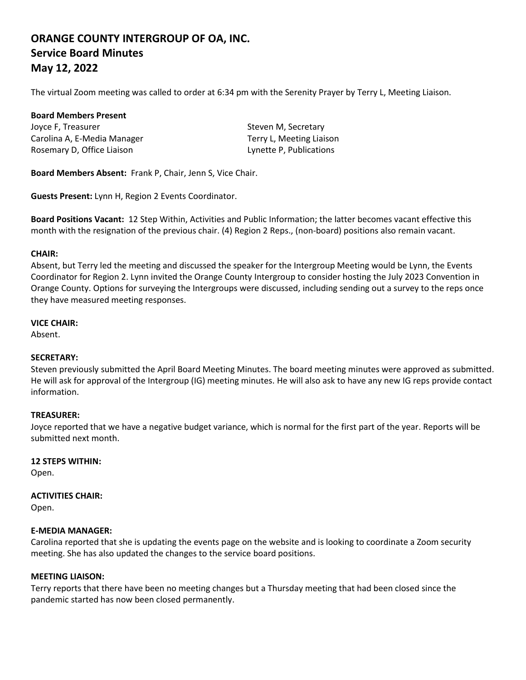# **ORANGE COUNTY INTERGROUP OF OA, INC. Service Board Minutes May 12, 2022**

The virtual Zoom meeting was called to order at 6:34 pm with the Serenity Prayer by Terry L, Meeting Liaison.

#### **Board Members Present**

Joyce F, Treasurer Steven M, Secretary Carolina A, E-Media Manager Terry L, Meeting Liaison Rosemary D, Office Liaison Lynette P, Publications

**Board Members Absent:** Frank P, Chair, Jenn S, Vice Chair.

**Guests Present:** Lynn H, Region 2 Events Coordinator.

**Board Positions Vacant:** 12 Step Within, Activities and Public Information; the latter becomes vacant effective this month with the resignation of the previous chair. (4) Region 2 Reps., (non-board) positions also remain vacant.

## **CHAIR:**

Absent, but Terry led the meeting and discussed the speaker for the Intergroup Meeting would be Lynn, the Events Coordinator for Region 2. Lynn invited the Orange County Intergroup to consider hosting the July 2023 Convention in Orange County. Options for surveying the Intergroups were discussed, including sending out a survey to the reps once they have measured meeting responses.

## **VICE CHAIR:**

Absent.

## **SECRETARY:**

Steven previously submitted the April Board Meeting Minutes. The board meeting minutes were approved as submitted. He will ask for approval of the Intergroup (IG) meeting minutes. He will also ask to have any new IG reps provide contact information.

## **TREASURER:**

Joyce reported that we have a negative budget variance, which is normal for the first part of the year. Reports will be submitted next month.

## **12 STEPS WITHIN:**

Open.

## **ACTIVITIES CHAIR:**

Open.

## **E-MEDIA MANAGER:**

Carolina reported that she is updating the events page on the website and is looking to coordinate a Zoom security meeting. She has also updated the changes to the service board positions.

## **MEETING LIAISON:**

Terry reports that there have been no meeting changes but a Thursday meeting that had been closed since the pandemic started has now been closed permanently.